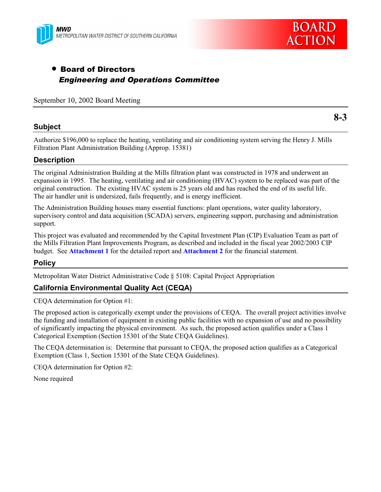



**8-3**

# • Board of Directors *Engineering and Operations Committee*

September 10, 2002 Board Meeting

## **Subject**

Authorize \$196,000 to replace the heating, ventilating and air conditioning system serving the Henry J. Mills

Filtration Plant Administration Building (Approp. 15381)

# **Description**

The original Administration Building at the Mills filtration plant was constructed in 1978 and underwent an expansion in 1995. The heating, ventilating and air conditioning (HVAC) system to be replaced was part of the original construction. The existing HVAC system is 25 years old and has reached the end of its useful life. The air handler unit is undersized, fails frequently, and is energy inefficient.

The Administration Building houses many essential functions: plant operations, water quality laboratory, supervisory control and data acquisition (SCADA) servers, engineering support, purchasing and administration support.

This project was evaluated and recommended by the Capital Investment Plan (CIP) Evaluation Team as part of the Mills Filtration Plant Improvements Program, as described and included in the fiscal year 2002/2003 CIP budget. See **Attachment 1** for the detailed report and **Attachment 2** for the financial statement.

# **Policy**

Metropolitan Water District Administrative Code ß 5108: Capital Project Appropriation

# **California Environmental Quality Act (CEQA)**

CEQA determination for Option #1:

The proposed action is categorically exempt under the provisions of CEQA. The overall project activities involve the funding and installation of equipment in existing public facilities with no expansion of use and no possibility of significantly impacting the physical environment. As such, the proposed action qualifies under a Class 1 Categorical Exemption (Section 15301 of the State CEQA Guidelines).

The CEQA determination is: Determine that pursuant to CEQA, the proposed action qualifies as a Categorical Exemption (Class 1, Section 15301 of the State CEQA Guidelines).

CEQA determination for Option #2:

None required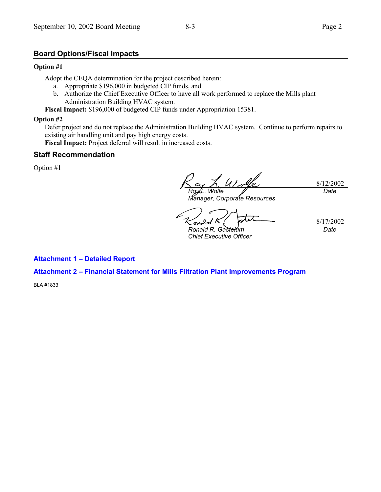# **Board Options/Fiscal Impacts**

#### **Option #1**

Adopt the CEQA determination for the project described herein:

- a. Appropriate \$196,000 in budgeted CIP funds, and
- b. Authorize the Chief Executive Officer to have all work performed to replace the Mills plant Administration Building HVAC system.

**Fiscal Impact:** \$196,000 of budgeted CIP funds under Appropriation 15381.

#### **Option #2**

Defer project and do not replace the Administration Building HVAC system. Continue to perform repairs to existing air handling unit and pay high energy costs.

**Fiscal Impact:** Project deferral will result in increased costs.

#### **Staff Recommendation**

Option #1

8/12/2002 *Roy L. Wolfe Date*

*Manager, Corporate Resources*

sn

*Ronald R. Gastelum Chief Executive Officer*

8/17/2002 *Date*

**Attachment 1 - Detailed Report** 

# **Attachment 2 - Financial Statement for Mills Filtration Plant Improvements Program**

BLA #1833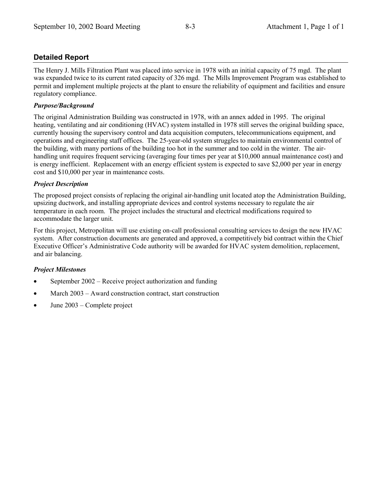# **Detailed Report**

The Henry J. Mills Filtration Plant was placed into service in 1978 with an initial capacity of 75 mgd. The plant was expanded twice to its current rated capacity of 326 mgd. The Mills Improvement Program was established to permit and implement multiple projects at the plant to ensure the reliability of equipment and facilities and ensure regulatory compliance.

### *Purpose/Background*

The original Administration Building was constructed in 1978, with an annex added in 1995. The original heating, ventilating and air conditioning (HVAC) system installed in 1978 still serves the original building space, currently housing the supervisory control and data acquisition computers, telecommunications equipment, and operations and engineering staff offices. The 25-year-old system struggles to maintain environmental control of the building, with many portions of the building too hot in the summer and too cold in the winter. The airhandling unit requires frequent servicing (averaging four times per year at \$10,000 annual maintenance cost) and is energy inefficient. Replacement with an energy efficient system is expected to save \$2,000 per year in energy cost and \$10,000 per year in maintenance costs.

#### *Project Description*

The proposed project consists of replacing the original air-handling unit located atop the Administration Building, upsizing ductwork, and installing appropriate devices and control systems necessary to regulate the air temperature in each room. The project includes the structural and electrical modifications required to accommodate the larger unit.

For this project, Metropolitan will use existing on-call professional consulting services to design the new HVAC system. After construction documents are generated and approved, a competitively bid contract within the Chief Executive Officer's Administrative Code authority will be awarded for HVAC system demolition, replacement, and air balancing.

#### *Project Milestones*

- September  $2002$  Receive project authorization and funding
- March  $2003$  Award construction contract, start construction
- June  $2003$  Complete project